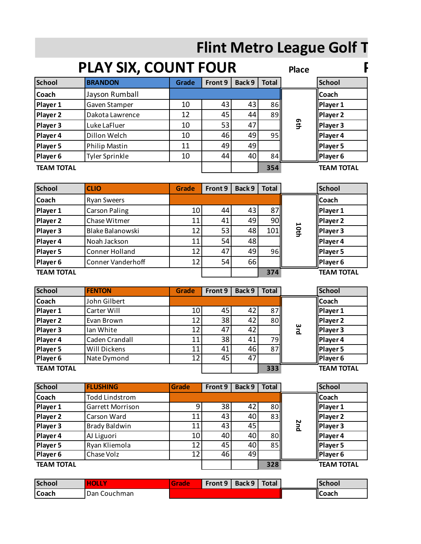## **Flint Metro League Golf T**

|                   | <b>PLAY SIX, COUNT FOUR</b> |              |         |        |                 | <b>Place</b> |                   |
|-------------------|-----------------------------|--------------|---------|--------|-----------------|--------------|-------------------|
| <b>School</b>     | <b>BRANDON</b>              | <b>Grade</b> | Front 9 | Back 9 | <b>Total</b>    |              | <b>School</b>     |
| <b>Coach</b>      | Jayson Rumball              |              |         |        |                 |              | <b>Coach</b>      |
| Player 1          | Gaven Stamper               | 10           | 43      | 43     | 86 <sup> </sup> |              | Player 1          |
| Player 2          | Dakota Lawrence             | 12           | 45      | 44     | 89              |              | Player 2          |
| Player 3          | Luke LaFluer                | 10           | 53      | 47     |                 | 6th          | Player 3          |
| Player 4          | Dillon Welch                | 10           | 46      | 49     | 95              |              | Player 4          |
| Player 5          | <b>Philip Mastin</b>        | 11           | 49      | 49     |                 |              | Player 5          |
| Player 6          | <b>Tyler Sprinkle</b>       | 10           | 44      | 40     | 84              |              | Player 6          |
| <b>TEAM TOTAL</b> |                             |              |         |        | 354             |              | <b>TEAM TOTAL</b> |

| <b>School</b>     | <b>CLIO</b>          | <b>Grade</b>    | Front 9 | Back 9 | <b>Total</b>    |     | <b>School</b>     |
|-------------------|----------------------|-----------------|---------|--------|-----------------|-----|-------------------|
| Coach             | <b>Ryan Sweers</b>   |                 |         |        |                 |     | <b>I</b> Coach    |
| Player 1          | <b>Carson Paling</b> | 10              | 44      | 43     | 87              |     | Player 1          |
| Player 2          | Chase Witmer         | 11              | 41      | 49     | 90I             |     | Player 2          |
| Player 3          | Blake Balanowski     | 12              | 53      | 48     | 101             | 101 | Player 3          |
| Player 4          | Noah Jackson         | 11              | 54      | 48     |                 |     | Player 4          |
| Player 5          | Conner Holland       | 12 <sub>1</sub> | 47      | 49     | 96 <sub>h</sub> |     | Player 5          |
| Player 6          | Conner Vanderhoff    | 12              | 54      | 66     |                 |     | Player 6          |
| <b>TEAM TOTAL</b> |                      |                 |         |        | 374             |     | <b>TEAM TOTAL</b> |

| $-1$              |                       |                 |                 |        |              |            | , -               |
|-------------------|-----------------------|-----------------|-----------------|--------|--------------|------------|-------------------|
| Player 3          | Blake Balanowski      | 12              | 53              | 48     | 101          | 10th       | Player 3          |
| Player 4          | Noah Jackson          | 11              | 54              | 48     |              |            | Player 4          |
| Player 5          | Conner Holland        | 12              | 47              | 49     | 96           |            | Player 5          |
| Player 6          | Conner Vanderhoff     | 12              | 54              | 66     |              |            | Player 6          |
| <b>TEAM TOTAL</b> |                       |                 |                 |        | 374          |            | <b>TEAM TOTAL</b> |
|                   |                       |                 |                 |        |              |            |                   |
| <b>School</b>     | <b>FENTON</b>         | Grade           | Front 9         | Back 9 | <b>Total</b> |            | <b>School</b>     |
| Coach             | John Gilbert          |                 |                 |        |              |            | Coach             |
| Player 1          | Carter Will           | 10              | 45              | 42     | 87           |            | Player 1          |
| Player 2          | Evan Brown            | $\overline{12}$ | $\overline{38}$ | 42     | 80           |            | Player 2          |
| Player 3          | Ian White             | 12              | 47              | 42     |              | 3rd        | Player 3          |
| Player 4          | Caden Crandall        | 11              | 38              | 41     | 79           |            | Player 4          |
| Player 5          | Will Dickens          | 11              | 41              | 46     | 87           |            | Player 5          |
| Player 6          | Nate Dymond           | $\overline{12}$ | 45              | 47     |              |            | Player 6          |
| <b>TEAM TOTAL</b> |                       |                 |                 |        | 333          |            | <b>TEAM TOTAL</b> |
|                   |                       |                 |                 |        |              |            |                   |
|                   |                       |                 |                 |        |              |            |                   |
| <b>School</b>     | <b>FLUSHING</b>       | <b>Grade</b>    | Front 9         | Back 9 | <b>Total</b> |            | <b>School</b>     |
| Coach             | <b>Todd Lindstrom</b> |                 |                 |        |              |            | Coach             |
| Player 1          | Garrett Morrison      | 9               | 38              | 42     | 80           |            | Player 1          |
| Player 2          | Carson Ward           | 11              | 43              | 40     | 83           |            | Player 2          |
| Player 3          | <b>Brady Baldwin</b>  | 11              | 43              | 45     |              | <b>2nd</b> | Player 3          |
| Player 4          | AJ Liguori            | 10              | 40              | 40     | 80           |            | Player 4          |
| Player 5          | Ryan Kliemola         | 12              | 45              | 40     | 85           |            | Player 5          |
| Player 6          | Chase Volz            | 12              | 46              | 49     |              |            | Player 6          |
| <b>TEAM TOTAL</b> |                       |                 |                 |        | 328          |            | <b>TEAM TOTAL</b> |
|                   |                       |                 |                 |        |              |            |                   |
| <b>School</b>     | <b>HOLLY</b>          | <b>Grade</b>    | Front 9         | Back 9 | <b>Total</b> |            | <b>School</b>     |
| Coach             | Dan Couchman          |                 |                 |        |              |            | <b>Coach</b>      |
|                   |                       |                 |                 |        |              |            |                   |
|                   |                       |                 |                 |        |              |            |                   |

| <b>School</b>     | <b>FLUSHING</b>       | <b>Grade</b> | Front 9 | Back 9 | <b>Total</b> |            | <b>School</b>     |
|-------------------|-----------------------|--------------|---------|--------|--------------|------------|-------------------|
| <b>Coach</b>      | <b>Todd Lindstrom</b> |              |         |        |              |            | <b>Coach</b>      |
| Player 1          | Garrett Morrison      | 9            | 38      | 42     | 80           |            | Player 1          |
| Player 2          | Carson Ward           | 11           | 43      | 40     | 83           |            | Player 2          |
| Player 3          | <b>Brady Baldwin</b>  | 11           | 43      | 45     |              | <b>Znd</b> | Player 3          |
| Player 4          | AJ Liguori            | 10           | 40      | 40     | 80           |            | Player 4          |
| Player 5          | Ryan Kliemola         | 12           | 45      | 40     | 85           |            | Player 5          |
| Player 6          | Chase Volz            | 12           | 46      | 49     |              |            | Player 6          |
| <b>TEAM TOTAL</b> |                       |              |         |        | 328          |            | <b>TEAM TOTAL</b> |
|                   |                       |              |         |        |              |            |                   |
| <b>School</b>     | <b>HOLLY</b>          | <b>Grade</b> | Front 9 | Back 9 | <b>Total</b> |            | <b>School</b>     |
| <b>Coach</b>      | Dan Couchman          |              |         |        |              |            | <b>Coach</b>      |

| <b>School</b> | <b>HOLLY</b>   | Grade | Front 9 | Back 9 | Total | <b>School</b>   |
|---------------|----------------|-------|---------|--------|-------|-----------------|
| <b>Coach</b>  | l Dan Couchman |       |         |        |       | <b>I</b> ICoach |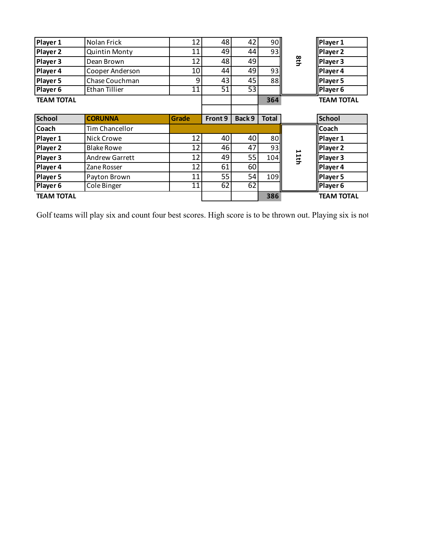| Player 1          |                   |              |         |        |              |      |                   |
|-------------------|-------------------|--------------|---------|--------|--------------|------|-------------------|
|                   | Nolan Frick       | 12           | 48      | 42     | 90II         |      | Player 1          |
| Player 2          | Quintin Monty     | 11           | 49      | 44     | 93II         |      | Player 2          |
| Player 3          | Dean Brown        | 12           | 48      | 49     |              | 8th  | Player 3          |
| Player 4          | Cooper Anderson   | 10           | 44      | 49     | 93           |      | Player 4          |
| Player 5          | Chase Couchman    | 9            | 43      | 45     | 88           |      | Player 5          |
| Player 6          | Ethan Tillier     | 11           | 51      | 53     |              |      | Player 6          |
| <b>TEAM TOTAL</b> |                   |              |         |        | 364          |      | <b>TEAM TOTAL</b> |
|                   |                   |              |         |        |              |      |                   |
| <b>School</b>     | <b>CORUNNA</b>    | <b>Grade</b> | Front 9 | Back 9 | <b>Total</b> |      | <b>School</b>     |
| Coach             | Tim Chancellor    |              |         |        |              |      | Coach             |
| Player 1          | Nick Crowe        | 12           | 40      | 40     | 80           |      | Player 1          |
| <b>Player 2</b>   | <b>Blake Rowe</b> | 12           | 46      | 47     | 93           |      | Player 2          |
| Player 3          | Andrew Garrett    | 12           | 49      | 55     | 104II        | 11th | Player 3          |
| Player 4          | Zane Rosser       | 12           | 61      | 60     |              |      | Player 4          |
| Player 5          | Payton Brown      | 11           | 55      | 54     | 109          |      | Player 5          |
|                   |                   | 11           | 62      | 62     |              |      | Player 6          |
| Player 6          | Cole Binger       |              |         |        |              |      |                   |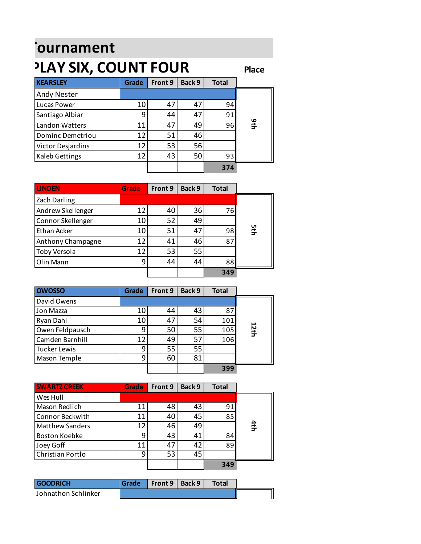## *<u>Flournament</u>* **PLAY SIX, COUNT FOUR**

**Place**

| <b>KEARSLEY</b>    | Grade | Front 9 | Back 9 | <b>Total</b> |     |
|--------------------|-------|---------|--------|--------------|-----|
| <b>Andy Nester</b> |       |         |        |              |     |
| Lucas Power        | 10    | 47      | 47     | 94           |     |
| Santiago Albiar    | 9     | 44      | 47     | 91           |     |
| Landon Watters     | 11    | 47      | 49     | 96           | 9th |
| Dominc Demetriou   | 12    | 51      | 46     |              |     |
| Victor Desjardins  | 12    | 53      | 56     |              |     |
| Kaleb Gettings     | 12    | 43      | 50     | 93           |     |
|                    |       |         |        | 374          |     |

| <b>LINDEN</b>     | <b>Grade</b> | Front 9 | Back 9 | <b>Total</b> |     |
|-------------------|--------------|---------|--------|--------------|-----|
| Zach Darling      |              |         |        |              |     |
| Andrew Skellenger | 12           | 40      | 36     | 76           |     |
| Connor Skellenger | 10           | 52      | 49     |              |     |
| Ethan Acker       | 10           | 51      | 47     | 98           | 5th |
| Anthony Champagne | 12           | 41      | 46     | 87           |     |
| Toby Versola      | 12           | 53      | 55     |              |     |
| <b>Olin Mann</b>  | 9            | 44      | 44     | 88           |     |
|                   |              |         |        | 349          |     |

| Ethan Acker             | 10             | 51              | 47              | 98           | n<br>St |
|-------------------------|----------------|-----------------|-----------------|--------------|---------|
| Anthony Champagne       | 12             | 41              | 46              | 87           |         |
| Toby Versola            | 12             | 53              | 55              |              |         |
| Olin Mann               | 9              | 44              | 44              | 88           |         |
|                         |                |                 |                 | 349          |         |
|                         |                |                 |                 |              |         |
| <b>OWOSSO</b>           | <b>Grade</b>   | Front 9         | Back 9          | <b>Total</b> |         |
| David Owens             |                |                 |                 |              |         |
| Jon Mazza               | 10             | 44              | 43              | 87           |         |
| Ryan Dahl               | 10             | 47              | 54              | 101          |         |
| Owen Feldpausch         | 9              | 50              | 55              | 105          | 12th    |
| Camden Barnhill         | 12             | 49              | $\overline{57}$ | 106          |         |
| <b>Tucker Lewis</b>     | 9              | $\overline{55}$ | $\overline{55}$ |              |         |
| Mason Temple            | $\overline{9}$ | 60              | 81              |              |         |
|                         |                |                 |                 | 399          |         |
|                         |                |                 |                 |              |         |
|                         |                |                 |                 |              |         |
| <b>SWARTZ CREEK</b>     | <b>Grade</b>   | Front 9         | Back 9          | <b>Total</b> |         |
| Wes Hull                |                |                 |                 |              |         |
| Mason Redlich           | 11             | 48              | 43              | 91           |         |
| Connor Beckwith         | 11             | 40              | 45              | 85           |         |
| <b>Matthew Sanders</b>  | 12             | 46              | 49              |              | 4th     |
| <b>Boston Koebke</b>    | 9              | 43              | 41              | 84           |         |
| Joey Goff               | 11             | 47              | 42              | 89           |         |
| <b>Christian Portlo</b> | 9              | $\overline{53}$ | $\overline{45}$ |              |         |
|                         |                |                 |                 | 349          |         |
|                         |                |                 |                 |              |         |
| <b>GOODRICH</b>         | <b>Grade</b>   | Front 9         | Back 9          | <b>Total</b> |         |
| Johnathon Schlinker     |                |                 |                 |              |         |
|                         |                |                 |                 |              |         |
|                         |                |                 |                 |              |         |

| <b>SWARTZ CREEK</b>    | <b>Grade</b> | Front 9 | Back 9 | <b>Total</b> |     |
|------------------------|--------------|---------|--------|--------------|-----|
| Wes Hull               |              |         |        |              |     |
| Mason Redlich          | 11           | 48      | 43     | 91           |     |
| Connor Beckwith        | 11           | 40      | 45     | 85           |     |
| <b>Matthew Sanders</b> | 12           | 46      | 49     |              | 4th |
| Boston Koebke          | q            | 43      | 41     | 84           |     |
| Joey Goff              | 11           | $4^-$   | 42     | 89           |     |
| Christian Portlo       | q            | 53      | 45     |              |     |
|                        |              |         |        | 349          |     |

| <b>GOODRICH</b>     | Grade   Front 9   Back 9 | <b>Total</b> |  |
|---------------------|--------------------------|--------------|--|
| Johnathon Schlinker |                          |              |  |